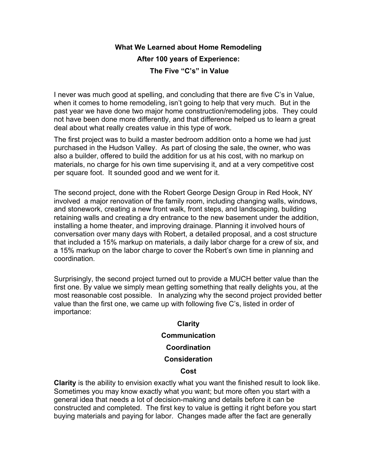## **What We Learned about Home Remodeling After 100 years of Experience: The Five "C's" in Value**

I never was much good at spelling, and concluding that there are five C's in Value, when it comes to home remodeling, isn't going to help that very much. But in the past year we have done two major home construction/remodeling jobs. They could not have been done more differently, and that difference helped us to learn a great deal about what really creates value in this type of work.

The first project was to build a master bedroom addition onto a home we had just purchased in the Hudson Valley. As part of closing the sale, the owner, who was also a builder, offered to build the addition for us at his cost, with no markup on materials, no charge for his own time supervising it, and at a very competitive cost per square foot. It sounded good and we went for it.

The second project, done with the Robert George Design Group in Red Hook, NY involved a major renovation of the family room, including changing walls, windows, and stonework, creating a new front walk, front steps, and landscaping, building retaining walls and creating a dry entrance to the new basement under the addition, installing a home theater, and improving drainage. Planning it involved hours of conversation over many days with Robert, a detailed proposal, and a cost structure that included a 15% markup on materials, a daily labor charge for a crew of six, and a 15% markup on the labor charge to cover the Robert's own time in planning and coordination.

Surprisingly, the second project turned out to provide a MUCH better value than the first one. By value we simply mean getting something that really delights you, at the most reasonable cost possible. In analyzing why the second project provided better value than the first one, we came up with following five C's, listed in order of importance:

## **Clarity Communication Coordination Consideration**

## **Cost**

**Clarity** is the ability to envision exactly what you want the finished result to look like. Sometimes you may know exactly what you want; but more often you start with a general idea that needs a lot of decision-making and details before it can be constructed and completed. The first key to value is getting it right before you start buying materials and paying for labor. Changes made after the fact are generally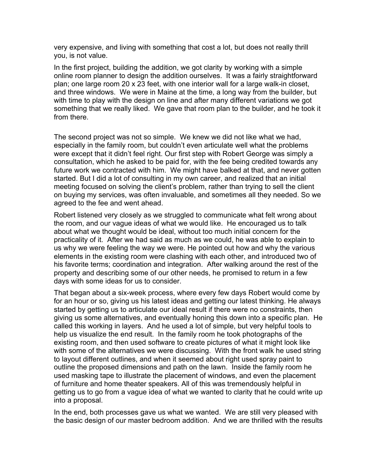very expensive, and living with something that cost a lot, but does not really thrill you, is not value.

In the first project, building the addition, we got clarity by working with a simple online room planner to design the addition ourselves. It was a fairly straightforward plan; one large room 20 x 23 feet, with one interior wall for a large walk-in closet, and three windows. We were in Maine at the time, a long way from the builder, but with time to play with the design on line and after many different variations we got something that we really liked. We gave that room plan to the builder, and he took it from there.

The second project was not so simple. We knew we did not like what we had, especially in the family room, but couldn't even articulate well what the problems were except that it didn't feel right. Our first step with Robert George was simply a consultation, which he asked to be paid for, with the fee being credited towards any future work we contracted with him. We might have balked at that, and never gotten started. But I did a lot of consulting in my own career, and realized that an initial meeting focused on solving the client's problem, rather than trying to sell the client on buying my services, was often invaluable, and sometimes all they needed. So we agreed to the fee and went ahead.

Robert listened very closely as we struggled to communicate what felt wrong about the room, and our vague ideas of what we would like. He encouraged us to talk about what we thought would be ideal, without too much initial concern for the practicality of it. After we had said as much as we could, he was able to explain to us why we were feeling the way we were. He pointed out how and why the various elements in the existing room were clashing with each other, and introduced two of his favorite terms; coordination and integration. After walking around the rest of the property and describing some of our other needs, he promised to return in a few days with some ideas for us to consider.

That began about a six-week process, where every few days Robert would come by for an hour or so, giving us his latest ideas and getting our latest thinking. He always started by getting us to articulate our ideal result if there were no constraints, then giving us some alternatives, and eventually honing this down into a specific plan. He called this working in layers. And he used a lot of simple, but very helpful tools to help us visualize the end result. In the family room he took photographs of the existing room, and then used software to create pictures of what it might look like with some of the alternatives we were discussing. With the front walk he used string to layout different outlines, and when it seemed about right used spray paint to outline the proposed dimensions and path on the lawn. Inside the family room he used masking tape to illustrate the placement of windows, and even the placement of furniture and home theater speakers. All of this was tremendously helpful in getting us to go from a vague idea of what we wanted to clarity that he could write up into a proposal.

In the end, both processes gave us what we wanted. We are still very pleased with the basic design of our master bedroom addition. And we are thrilled with the results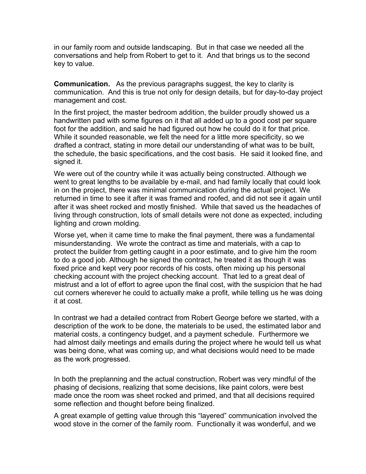in our family room and outside landscaping. But in that case we needed all the conversations and help from Robert to get to it. And that brings us to the second key to value.

**Communication.** As the previous paragraphs suggest, the key to clarity is communication. And this is true not only for design details, but for day-to-day project management and cost.

In the first project, the master bedroom addition, the builder proudly showed us a handwritten pad with some figures on it that all added up to a good cost per square foot for the addition, and said he had figured out how he could do it for that price. While it sounded reasonable, we felt the need for a little more specificity, so we drafted a contract, stating in more detail our understanding of what was to be built, the schedule, the basic specifications, and the cost basis. He said it looked fine, and signed it.

We were out of the country while it was actually being constructed. Although we went to great lengths to be available by e-mail, and had family locally that could look in on the project, there was minimal communication during the actual project. We returned in time to see it after it was framed and roofed, and did not see it again until after it was sheet rocked and mostly finished. While that saved us the headaches of living through construction, lots of small details were not done as expected, including lighting and crown molding.

Worse yet, when it came time to make the final payment, there was a fundamental misunderstanding. We wrote the contract as time and materials, with a cap to protect the builder from getting caught in a poor estimate, and to give him the room to do a good job. Although he signed the contract, he treated it as though it was fixed price and kept very poor records of his costs, often mixing up his personal checking account with the project checking account. That led to a great deal of mistrust and a lot of effort to agree upon the final cost, with the suspicion that he had cut corners wherever he could to actually make a profit, while telling us he was doing it at cost.

In contrast we had a detailed contract from Robert George before we started, with a description of the work to be done, the materials to be used, the estimated labor and material costs, a contingency budget, and a payment schedule. Furthermore we had almost daily meetings and emails during the project where he would tell us what was being done, what was coming up, and what decisions would need to be made as the work progressed.

In both the preplanning and the actual construction, Robert was very mindful of the phasing of decisions, realizing that some decisions, like paint colors, were best made once the room was sheet rocked and primed, and that all decisions required some reflection and thought before being finalized.

A great example of getting value through this "layered" communication involved the wood stove in the corner of the family room. Functionally it was wonderful, and we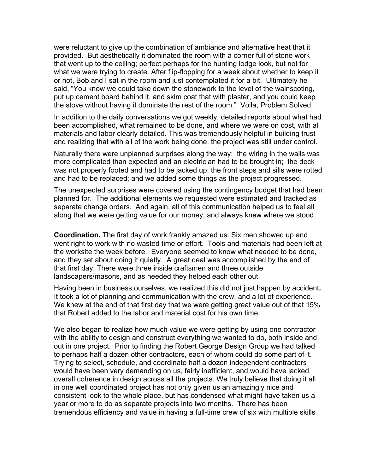were reluctant to give up the combination of ambiance and alternative heat that it provided. But aesthetically it dominated the room with a corner full of stone work that went up to the ceiling; perfect perhaps for the hunting lodge look, but not for what we were trying to create. After flip-flopping for a week about whether to keep it or not, Bob and I sat in the room and just contemplated it for a bit. Ultimately he said, "You know we could take down the stonework to the level of the wainscoting, put up cement board behind it, and skim coat that with plaster, and you could keep the stove without having it dominate the rest of the room." Voila, Problem Solved.

In addition to the daily conversations we got weekly, detailed reports about what had been accomplished, what remained to be done, and where we were on cost, with all materials and labor clearly detailed. This was tremendously helpful in building trust and realizing that with all of the work being done, the project was still under control.

Naturally there were unplanned surprises along the way: the wiring in the walls was more complicated than expected and an electrician had to be brought in; the deck was not properly footed and had to be jacked up; the front steps and sills were rotted and had to be replaced; and we added some things as the project progressed.

The unexpected surprises were covered using the contingency budget that had been planned for. The additional elements we requested were estimated and tracked as separate change orders. And again, all of this communication helped us to feel all along that we were getting value for our money, and always knew where we stood.

**Coordination.** The first day of work frankly amazed us. Six men showed up and went right to work with no wasted time or effort. Tools and materials had been left at the worksite the week before. Everyone seemed to know what needed to be done, and they set about doing it quietly. A great deal was accomplished by the end of that first day. There were three inside craftsmen and three outside landscapers/masons, and as needed they helped each other out.

Having been in business ourselves, we realized this did not just happen by accident**.** It took a lot of planning and communication with the crew, and a lot of experience. We knew at the end of that first day that we were getting great value out of that 15% that Robert added to the labor and material cost for his own time.

We also began to realize how much value we were getting by using one contractor with the ability to design and construct everything we wanted to do, both inside and out in one project. Prior to finding the Robert George Design Group we had talked to perhaps half a dozen other contractors, each of whom could do some part of it. Trying to select, schedule, and coordinate half a dozen independent contractors would have been very demanding on us, fairly inefficient, and would have lacked overall coherence in design across all the projects. We truly believe that doing it all in one well coordinated project has not only given us an amazingly nice and consistent look to the whole place, but has condensed what might have taken us a year or more to do as separate projects into two months. There has been tremendous efficiency and value in having a full-time crew of six with multiple skills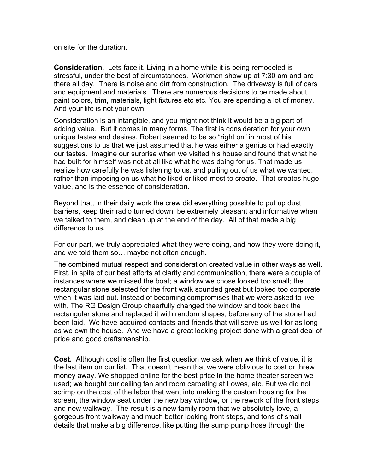on site for the duration.

**Consideration.** Lets face it. Living in a home while it is being remodeled is stressful, under the best of circumstances. Workmen show up at 7:30 am and are there all day. There is noise and dirt from construction. The driveway is full of cars and equipment and materials. There are numerous decisions to be made about paint colors, trim, materials, light fixtures etc etc. You are spending a lot of money. And your life is not your own.

Consideration is an intangible, and you might not think it would be a big part of adding value. But it comes in many forms. The first is consideration for your own unique tastes and desires. Robert seemed to be so "right on" in most of his suggestions to us that we just assumed that he was either a genius or had exactly our tastes. Imagine our surprise when we visited his house and found that what he had built for himself was not at all like what he was doing for us. That made us realize how carefully he was listening to us, and pulling out of us what we wanted, rather than imposing on us what he liked or liked most to create. That creates huge value, and is the essence of consideration.

Beyond that, in their daily work the crew did everything possible to put up dust barriers, keep their radio turned down, be extremely pleasant and informative when we talked to them, and clean up at the end of the day. All of that made a big difference to us.

For our part, we truly appreciated what they were doing, and how they were doing it, and we told them so… maybe not often enough.

The combined mutual respect and consideration created value in other ways as well. First, in spite of our best efforts at clarity and communication, there were a couple of instances where we missed the boat; a window we chose looked too small; the rectangular stone selected for the front walk sounded great but looked too corporate when it was laid out. Instead of becoming compromises that we were asked to live with, The RG Design Group cheerfully changed the window and took back the rectangular stone and replaced it with random shapes, before any of the stone had been laid. We have acquired contacts and friends that will serve us well for as long as we own the house. And we have a great looking project done with a great deal of pride and good craftsmanship.

**Cost.** Although cost is often the first question we ask when we think of value, it is the last item on our list. That doesn't mean that we were oblivious to cost or threw money away. We shopped online for the best price in the home theater screen we used; we bought our ceiling fan and room carpeting at Lowes, etc. But we did not scrimp on the cost of the labor that went into making the custom housing for the screen, the window seat under the new bay window, or the rework of the front steps and new walkway. The result is a new family room that we absolutely love, a gorgeous front walkway and much better looking front steps, and tons of small details that make a big difference, like putting the sump pump hose through the